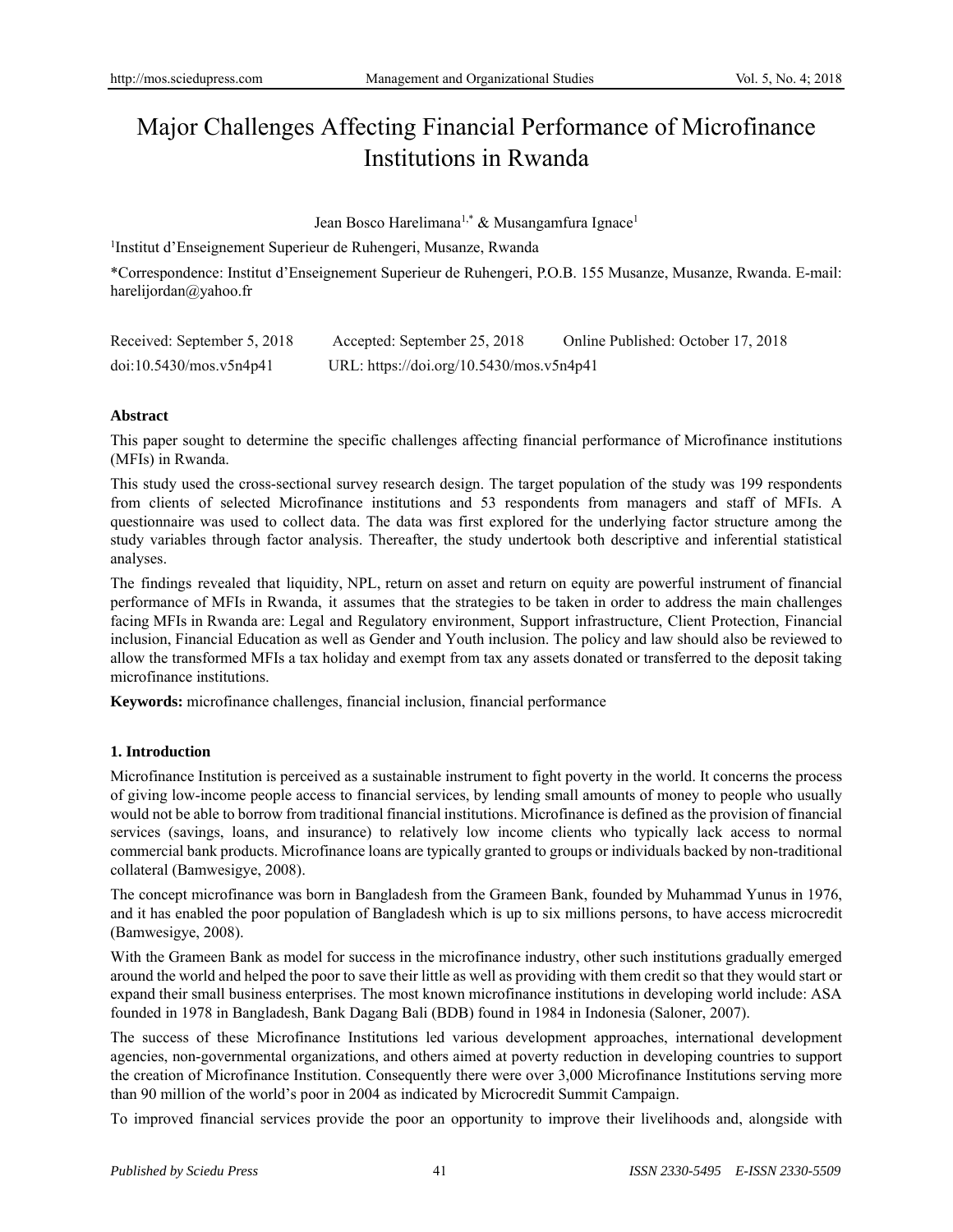# Major Challenges Affecting Financial Performance of Microfinance Institutions in Rwanda

Jean Bosco Harelimana<sup>1,\*</sup> & Musangamfura Ignace<sup>1</sup>

1 Institut d'Enseignement Superieur de Ruhengeri, Musanze, Rwanda

\*Correspondence: Institut d'Enseignement Superieur de Ruhengeri, P.O.B. 155 Musanze, Musanze, Rwanda. E-mail: harelijordan@yahoo.fr

| Received: September 5, 2018 | Accepted: September 25, 2018             | Online Published: October 17, 2018 |
|-----------------------------|------------------------------------------|------------------------------------|
| doi:10.5430/mos.v5n4p41     | URL: https://doi.org/10.5430/mos.v5n4p41 |                                    |

## **Abstract**

This paper sought to determine the specific challenges affecting financial performance of Microfinance institutions (MFIs) in Rwanda.

This study used the cross-sectional survey research design. The target population of the study was 199 respondents from clients of selected Microfinance institutions and 53 respondents from managers and staff of MFIs. A questionnaire was used to collect data. The data was first explored for the underlying factor structure among the study variables through factor analysis. Thereafter, the study undertook both descriptive and inferential statistical analyses.

The findings revealed that liquidity, NPL, return on asset and return on equity are powerful instrument of financial performance of MFIs in Rwanda, it assumes that the strategies to be taken in order to address the main challenges facing MFIs in Rwanda are: Legal and Regulatory environment, Support infrastructure, Client Protection, Financial inclusion, Financial Education as well as Gender and Youth inclusion. The policy and law should also be reviewed to allow the transformed MFIs a tax holiday and exempt from tax any assets donated or transferred to the deposit taking microfinance institutions.

**Keywords:** microfinance challenges, financial inclusion, financial performance

# **1. Introduction**

Microfinance Institution is perceived as a sustainable instrument to fight poverty in the world. It concerns the process of giving low-income people access to financial services, by lending small amounts of money to people who usually would not be able to borrow from traditional financial institutions. Microfinance is defined as the provision of financial services (savings, loans, and insurance) to relatively low income clients who typically lack access to normal commercial bank products. Microfinance loans are typically granted to groups or individuals backed by non-traditional collateral (Bamwesigye, 2008).

The concept microfinance was born in Bangladesh from the Grameen Bank, founded by Muhammad Yunus in 1976, and it has enabled the poor population of Bangladesh which is up to six millions persons, to have access microcredit (Bamwesigye, 2008).

With the Grameen Bank as model for success in the microfinance industry, other such institutions gradually emerged around the world and helped the poor to save their little as well as providing with them credit so that they would start or expand their small business enterprises. The most known microfinance institutions in developing world include: ASA founded in 1978 in Bangladesh, Bank Dagang Bali (BDB) found in 1984 in Indonesia (Saloner, 2007).

The success of these Microfinance Institutions led various development approaches, international development agencies, non-governmental organizations, and others aimed at poverty reduction in developing countries to support the creation of Microfinance Institution. Consequently there were over 3,000 Microfinance Institutions serving more than 90 million of the world's poor in 2004 as indicated by Microcredit Summit Campaign.

To improved financial services provide the poor an opportunity to improve their livelihoods and, alongside with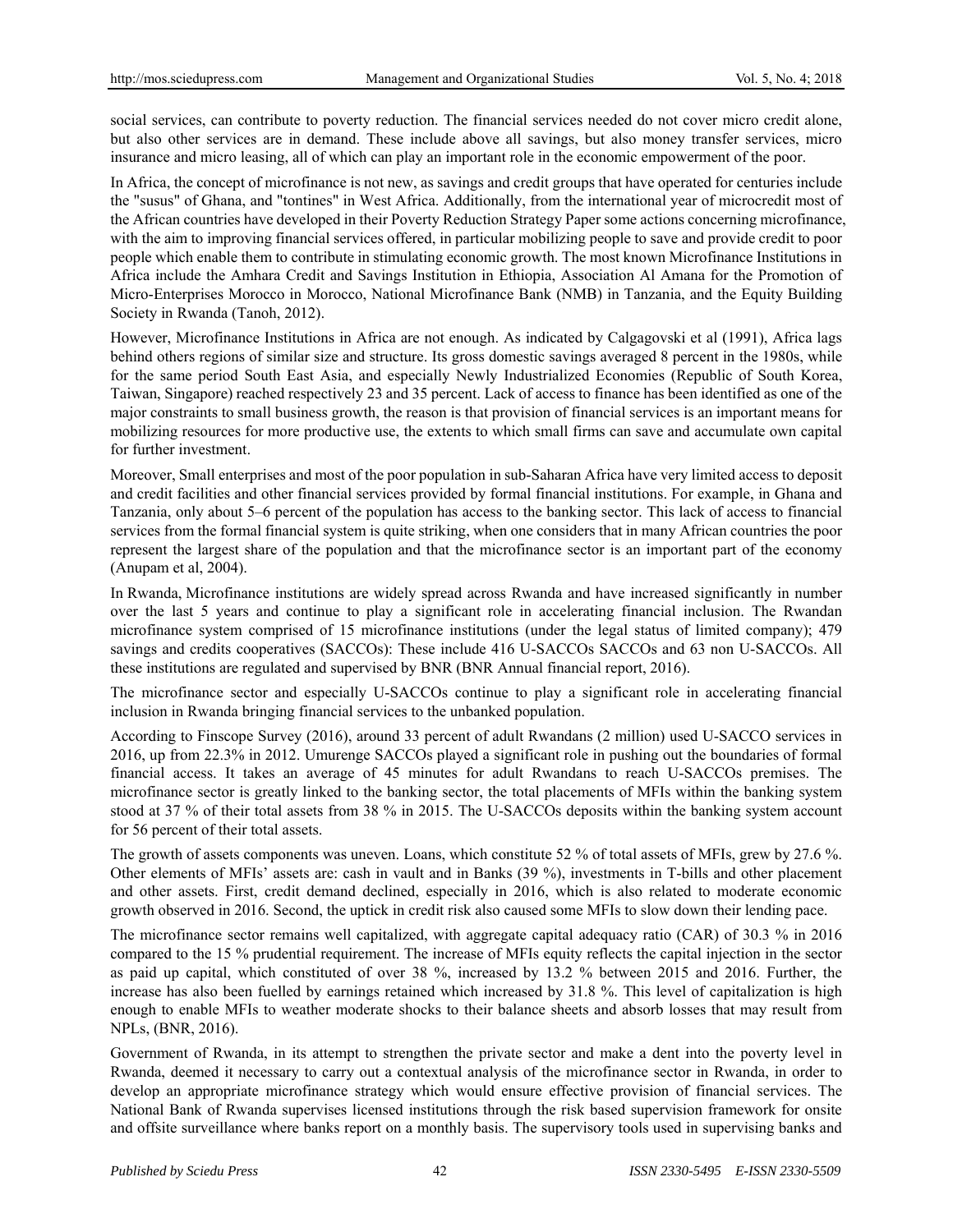social services, can contribute to poverty reduction. The financial services needed do not cover micro credit alone, but also other services are in demand. These include above all savings, but also money transfer services, micro insurance and micro leasing, all of which can play an important role in the economic empowerment of the poor.

In Africa, the concept of microfinance is not new, as savings and credit groups that have operated for centuries include the "susus" of Ghana, and "tontines" in West Africa. Additionally, from the international year of microcredit most of the African countries have developed in their Poverty Reduction Strategy Paper some actions concerning microfinance, with the aim to improving financial services offered, in particular mobilizing people to save and provide credit to poor people which enable them to contribute in stimulating economic growth. The most known Microfinance Institutions in Africa include the Amhara Credit and Savings Institution in Ethiopia, Association Al Amana for the Promotion of Micro-Enterprises Morocco in Morocco, National Microfinance Bank (NMB) in Tanzania, and the Equity Building Society in Rwanda (Tanoh, 2012).

However, Microfinance Institutions in Africa are not enough. As indicated by Calgagovski et al (1991), Africa lags behind others regions of similar size and structure. Its gross domestic savings averaged 8 percent in the 1980s, while for the same period South East Asia, and especially Newly Industrialized Economies (Republic of South Korea, Taiwan, Singapore) reached respectively 23 and 35 percent. Lack of access to finance has been identified as one of the major constraints to small business growth, the reason is that provision of financial services is an important means for mobilizing resources for more productive use, the extents to which small firms can save and accumulate own capital for further investment.

Moreover, Small enterprises and most of the poor population in sub-Saharan Africa have very limited access to deposit and credit facilities and other financial services provided by formal financial institutions. For example, in Ghana and Tanzania, only about 5–6 percent of the population has access to the banking sector. This lack of access to financial services from the formal financial system is quite striking, when one considers that in many African countries the poor represent the largest share of the population and that the microfinance sector is an important part of the economy (Anupam et al, 2004).

In Rwanda, Microfinance institutions are widely spread across Rwanda and have increased significantly in number over the last 5 years and continue to play a significant role in accelerating financial inclusion. The Rwandan microfinance system comprised of 15 microfinance institutions (under the legal status of limited company); 479 savings and credits cooperatives (SACCOs): These include 416 U-SACCOs SACCOs and 63 non U-SACCOs. All these institutions are regulated and supervised by BNR (BNR Annual financial report, 2016).

The microfinance sector and especially U-SACCOs continue to play a significant role in accelerating financial inclusion in Rwanda bringing financial services to the unbanked population.

According to Finscope Survey (2016), around 33 percent of adult Rwandans (2 million) used U-SACCO services in 2016, up from 22.3% in 2012. Umurenge SACCOs played a significant role in pushing out the boundaries of formal financial access. It takes an average of 45 minutes for adult Rwandans to reach U-SACCOs premises. The microfinance sector is greatly linked to the banking sector, the total placements of MFIs within the banking system stood at 37 % of their total assets from 38 % in 2015. The U-SACCOs deposits within the banking system account for 56 percent of their total assets.

The growth of assets components was uneven. Loans, which constitute 52 % of total assets of MFIs, grew by 27.6 %. Other elements of MFIs' assets are: cash in vault and in Banks (39 %), investments in T-bills and other placement and other assets. First, credit demand declined, especially in 2016, which is also related to moderate economic growth observed in 2016. Second, the uptick in credit risk also caused some MFIs to slow down their lending pace.

The microfinance sector remains well capitalized, with aggregate capital adequacy ratio (CAR) of 30.3 % in 2016 compared to the 15 % prudential requirement. The increase of MFIs equity reflects the capital injection in the sector as paid up capital, which constituted of over 38 %, increased by 13.2 % between 2015 and 2016. Further, the increase has also been fuelled by earnings retained which increased by 31.8 %. This level of capitalization is high enough to enable MFIs to weather moderate shocks to their balance sheets and absorb losses that may result from NPLs, (BNR, 2016).

Government of Rwanda, in its attempt to strengthen the private sector and make a dent into the poverty level in Rwanda, deemed it necessary to carry out a contextual analysis of the microfinance sector in Rwanda, in order to develop an appropriate microfinance strategy which would ensure effective provision of financial services. The National Bank of Rwanda supervises licensed institutions through the risk based supervision framework for onsite and offsite surveillance where banks report on a monthly basis. The supervisory tools used in supervising banks and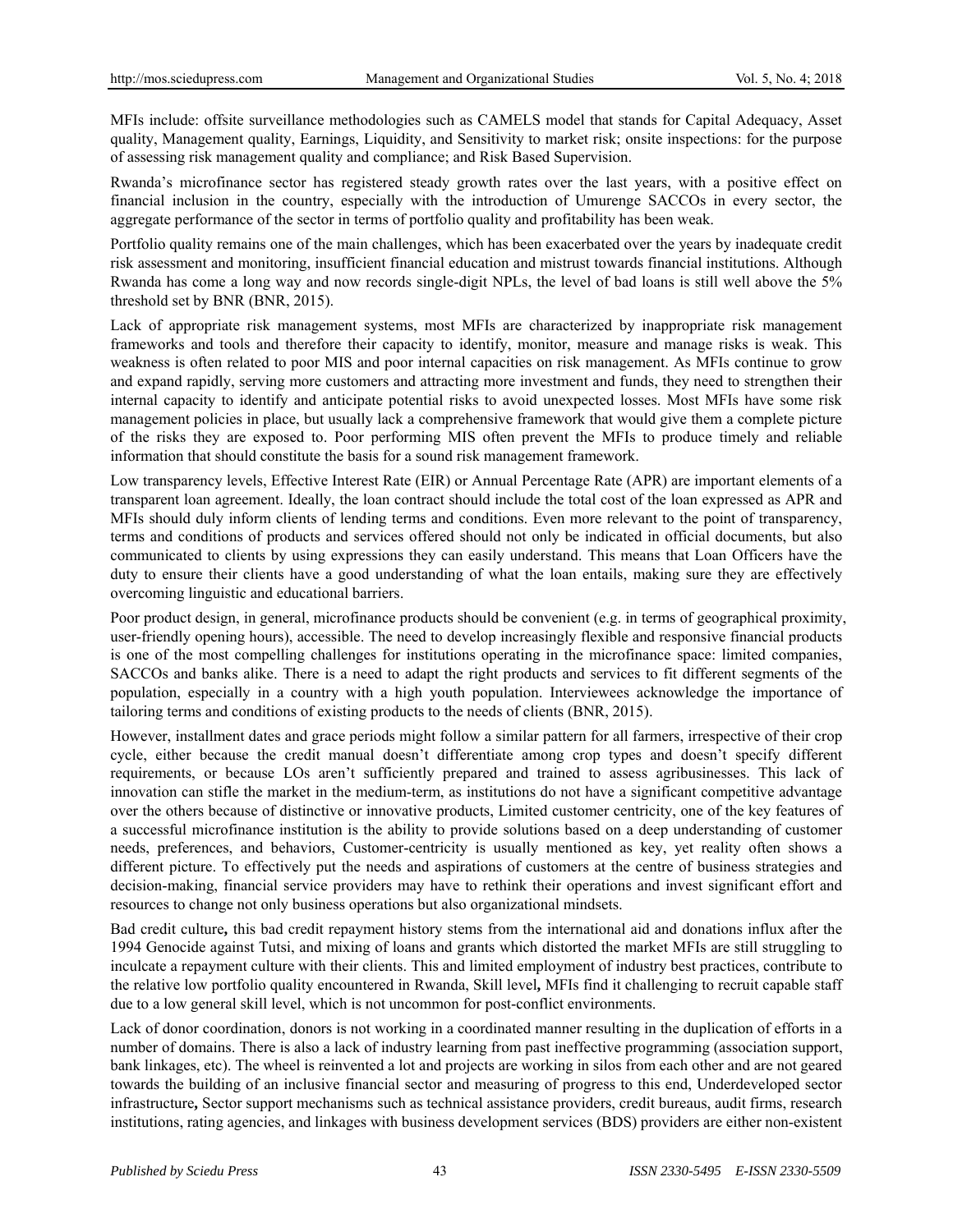MFIs include: offsite surveillance methodologies such as CAMELS model that stands for Capital Adequacy, Asset quality, Management quality, Earnings, Liquidity, and Sensitivity to market risk; onsite inspections: for the purpose of assessing risk management quality and compliance; and Risk Based Supervision.

Rwanda's microfinance sector has registered steady growth rates over the last years, with a positive effect on financial inclusion in the country, especially with the introduction of Umurenge SACCOs in every sector, the aggregate performance of the sector in terms of portfolio quality and profitability has been weak.

Portfolio quality remains one of the main challenges, which has been exacerbated over the years by inadequate credit risk assessment and monitoring, insufficient financial education and mistrust towards financial institutions. Although Rwanda has come a long way and now records single-digit NPLs, the level of bad loans is still well above the 5% threshold set by BNR (BNR, 2015).

Lack of appropriate risk management systems, most MFIs are characterized by inappropriate risk management frameworks and tools and therefore their capacity to identify, monitor, measure and manage risks is weak. This weakness is often related to poor MIS and poor internal capacities on risk management. As MFIs continue to grow and expand rapidly, serving more customers and attracting more investment and funds, they need to strengthen their internal capacity to identify and anticipate potential risks to avoid unexpected losses. Most MFIs have some risk management policies in place, but usually lack a comprehensive framework that would give them a complete picture of the risks they are exposed to. Poor performing MIS often prevent the MFIs to produce timely and reliable information that should constitute the basis for a sound risk management framework.

Low transparency levels, Effective Interest Rate (EIR) or Annual Percentage Rate (APR) are important elements of a transparent loan agreement. Ideally, the loan contract should include the total cost of the loan expressed as APR and MFIs should duly inform clients of lending terms and conditions. Even more relevant to the point of transparency, terms and conditions of products and services offered should not only be indicated in official documents, but also communicated to clients by using expressions they can easily understand. This means that Loan Officers have the duty to ensure their clients have a good understanding of what the loan entails, making sure they are effectively overcoming linguistic and educational barriers.

Poor product design, in general, microfinance products should be convenient (e.g. in terms of geographical proximity, user-friendly opening hours), accessible. The need to develop increasingly flexible and responsive financial products is one of the most compelling challenges for institutions operating in the microfinance space: limited companies, SACCOs and banks alike. There is a need to adapt the right products and services to fit different segments of the population, especially in a country with a high youth population. Interviewees acknowledge the importance of tailoring terms and conditions of existing products to the needs of clients (BNR, 2015).

However, installment dates and grace periods might follow a similar pattern for all farmers, irrespective of their crop cycle, either because the credit manual doesn't differentiate among crop types and doesn't specify different requirements, or because LOs aren't sufficiently prepared and trained to assess agribusinesses. This lack of innovation can stifle the market in the medium-term, as institutions do not have a significant competitive advantage over the others because of distinctive or innovative products, Limited customer centricity, one of the key features of a successful microfinance institution is the ability to provide solutions based on a deep understanding of customer needs, preferences, and behaviors, Customer-centricity is usually mentioned as key, yet reality often shows a different picture. To effectively put the needs and aspirations of customers at the centre of business strategies and decision-making, financial service providers may have to rethink their operations and invest significant effort and resources to change not only business operations but also organizational mindsets.

Bad credit culture**,** this bad credit repayment history stems from the international aid and donations influx after the 1994 Genocide against Tutsi, and mixing of loans and grants which distorted the market MFIs are still struggling to inculcate a repayment culture with their clients. This and limited employment of industry best practices, contribute to the relative low portfolio quality encountered in Rwanda, Skill level**,** MFIs find it challenging to recruit capable staff due to a low general skill level, which is not uncommon for post-conflict environments.

Lack of donor coordination, donors is not working in a coordinated manner resulting in the duplication of efforts in a number of domains. There is also a lack of industry learning from past ineffective programming (association support, bank linkages, etc). The wheel is reinvented a lot and projects are working in silos from each other and are not geared towards the building of an inclusive financial sector and measuring of progress to this end, Underdeveloped sector infrastructure**,** Sector support mechanisms such as technical assistance providers, credit bureaus, audit firms, research institutions, rating agencies, and linkages with business development services (BDS) providers are either non-existent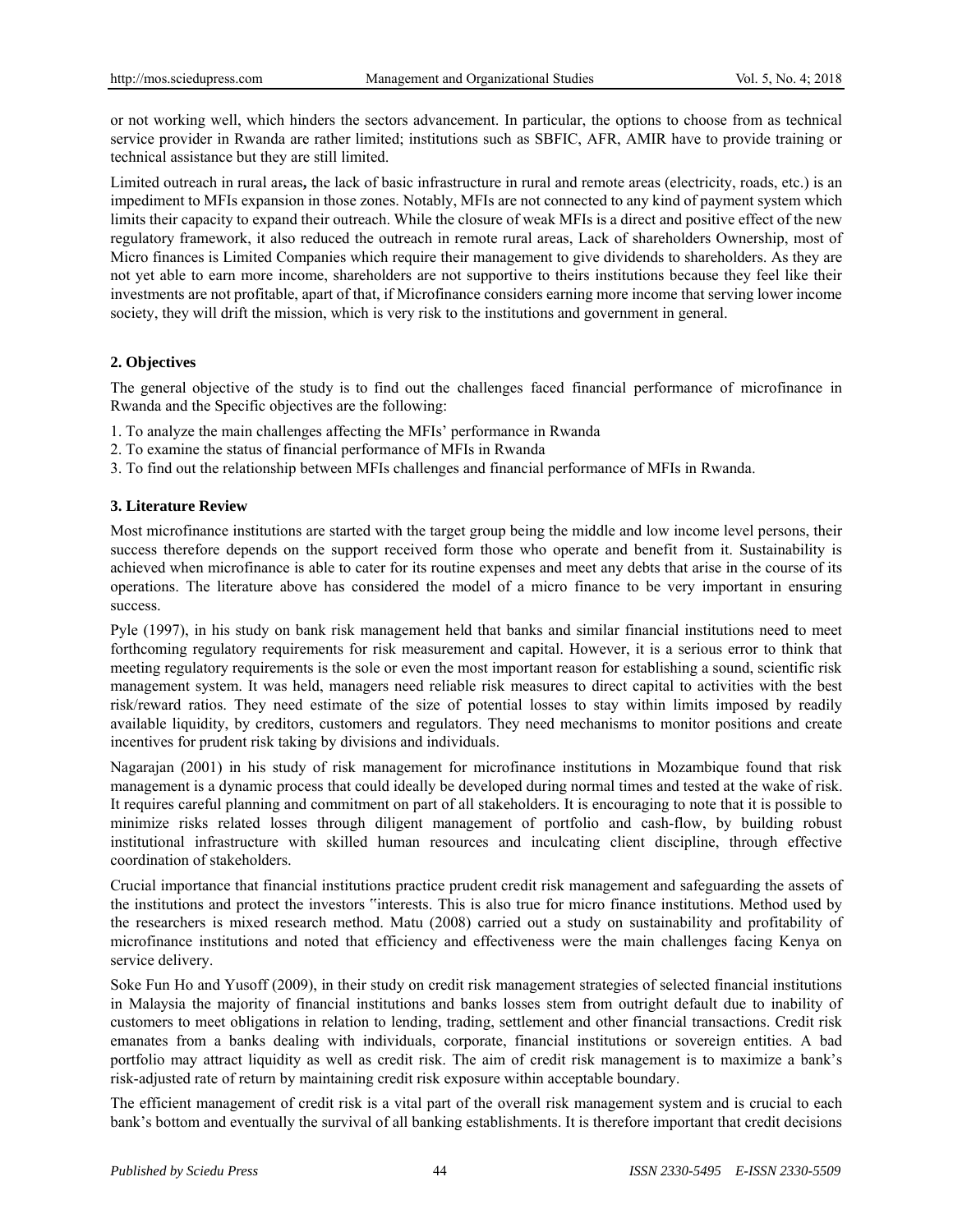or not working well, which hinders the sectors advancement. In particular, the options to choose from as technical service provider in Rwanda are rather limited; institutions such as SBFIC, AFR, AMIR have to provide training or technical assistance but they are still limited.

Limited outreach in rural areas**,** the lack of basic infrastructure in rural and remote areas (electricity, roads, etc.) is an impediment to MFIs expansion in those zones. Notably, MFIs are not connected to any kind of payment system which limits their capacity to expand their outreach. While the closure of weak MFIs is a direct and positive effect of the new regulatory framework, it also reduced the outreach in remote rural areas, Lack of shareholders Ownership, most of Micro finances is Limited Companies which require their management to give dividends to shareholders. As they are not yet able to earn more income, shareholders are not supportive to theirs institutions because they feel like their investments are not profitable, apart of that, if Microfinance considers earning more income that serving lower income society, they will drift the mission, which is very risk to the institutions and government in general.

## **2. Objectives**

The general objective of the study is to find out the challenges faced financial performance of microfinance in Rwanda and the Specific objectives are the following:

- 1. To analyze the main challenges affecting the MFIs' performance in Rwanda
- 2. To examine the status of financial performance of MFIs in Rwanda
- 3. To find out the relationship between MFIs challenges and financial performance of MFIs in Rwanda.

## **3. Literature Review**

Most microfinance institutions are started with the target group being the middle and low income level persons, their success therefore depends on the support received form those who operate and benefit from it. Sustainability is achieved when microfinance is able to cater for its routine expenses and meet any debts that arise in the course of its operations. The literature above has considered the model of a micro finance to be very important in ensuring success.

Pyle (1997), in his study on bank risk management held that banks and similar financial institutions need to meet forthcoming regulatory requirements for risk measurement and capital. However, it is a serious error to think that meeting regulatory requirements is the sole or even the most important reason for establishing a sound, scientific risk management system. It was held, managers need reliable risk measures to direct capital to activities with the best risk/reward ratios. They need estimate of the size of potential losses to stay within limits imposed by readily available liquidity, by creditors, customers and regulators. They need mechanisms to monitor positions and create incentives for prudent risk taking by divisions and individuals.

Nagarajan (2001) in his study of risk management for microfinance institutions in Mozambique found that risk management is a dynamic process that could ideally be developed during normal times and tested at the wake of risk. It requires careful planning and commitment on part of all stakeholders. It is encouraging to note that it is possible to minimize risks related losses through diligent management of portfolio and cash-flow, by building robust institutional infrastructure with skilled human resources and inculcating client discipline, through effective coordination of stakeholders.

Crucial importance that financial institutions practice prudent credit risk management and safeguarding the assets of the institutions and protect the investors "interests. This is also true for micro finance institutions. Method used by the researchers is mixed research method. Matu (2008) carried out a study on sustainability and profitability of microfinance institutions and noted that efficiency and effectiveness were the main challenges facing Kenya on service delivery.

Soke Fun Ho and Yusoff (2009), in their study on credit risk management strategies of selected financial institutions in Malaysia the majority of financial institutions and banks losses stem from outright default due to inability of customers to meet obligations in relation to lending, trading, settlement and other financial transactions. Credit risk emanates from a banks dealing with individuals, corporate, financial institutions or sovereign entities. A bad portfolio may attract liquidity as well as credit risk. The aim of credit risk management is to maximize a bank's risk-adjusted rate of return by maintaining credit risk exposure within acceptable boundary.

The efficient management of credit risk is a vital part of the overall risk management system and is crucial to each bank's bottom and eventually the survival of all banking establishments. It is therefore important that credit decisions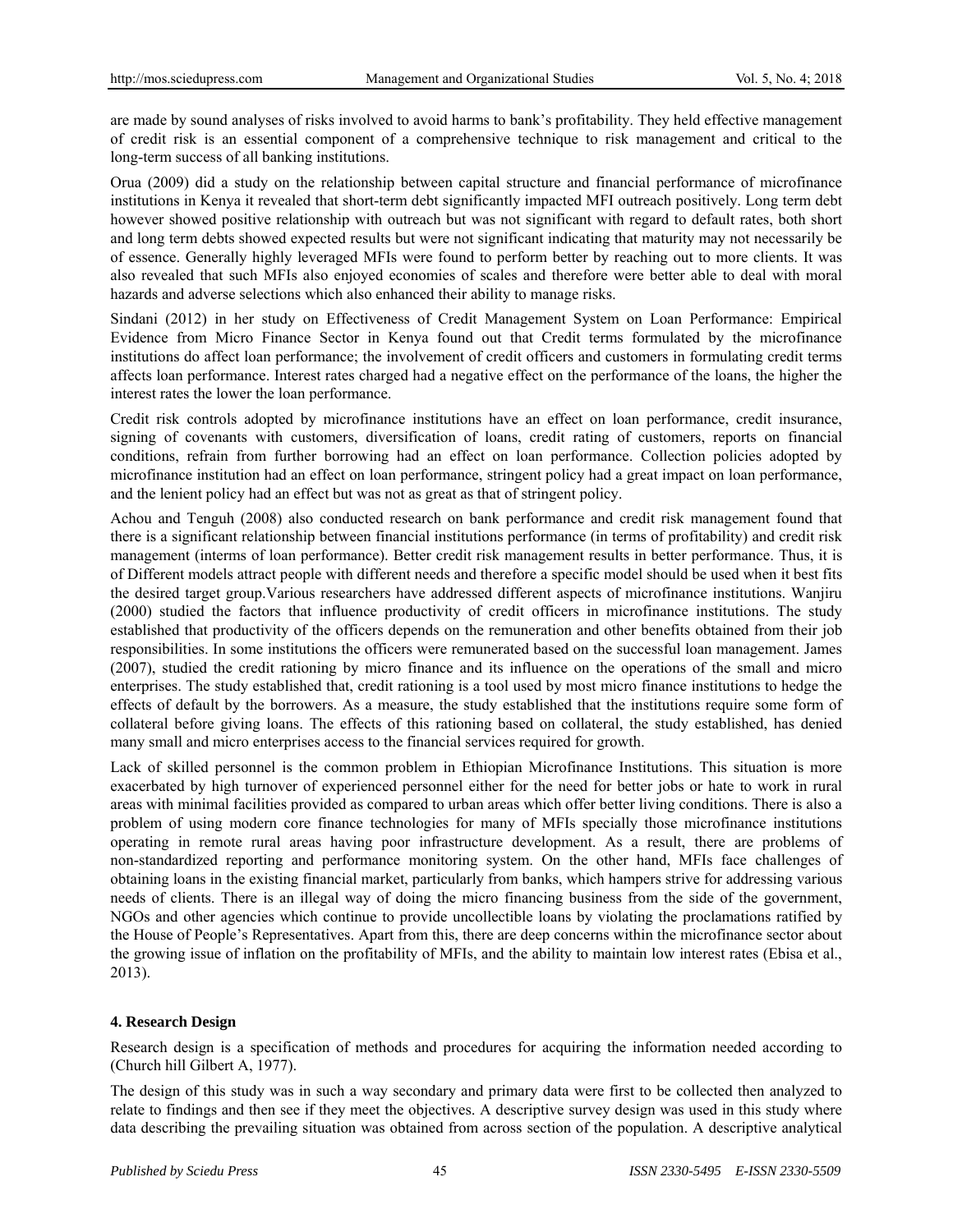are made by sound analyses of risks involved to avoid harms to bank's profitability. They held effective management of credit risk is an essential component of a comprehensive technique to risk management and critical to the long-term success of all banking institutions.

Orua (2009) did a study on the relationship between capital structure and financial performance of microfinance institutions in Kenya it revealed that short-term debt significantly impacted MFI outreach positively. Long term debt however showed positive relationship with outreach but was not significant with regard to default rates, both short and long term debts showed expected results but were not significant indicating that maturity may not necessarily be of essence. Generally highly leveraged MFIs were found to perform better by reaching out to more clients. It was also revealed that such MFIs also enjoyed economies of scales and therefore were better able to deal with moral hazards and adverse selections which also enhanced their ability to manage risks.

Sindani (2012) in her study on Effectiveness of Credit Management System on Loan Performance: Empirical Evidence from Micro Finance Sector in Kenya found out that Credit terms formulated by the microfinance institutions do affect loan performance; the involvement of credit officers and customers in formulating credit terms affects loan performance. Interest rates charged had a negative effect on the performance of the loans, the higher the interest rates the lower the loan performance.

Credit risk controls adopted by microfinance institutions have an effect on loan performance, credit insurance, signing of covenants with customers, diversification of loans, credit rating of customers, reports on financial conditions, refrain from further borrowing had an effect on loan performance. Collection policies adopted by microfinance institution had an effect on loan performance, stringent policy had a great impact on loan performance, and the lenient policy had an effect but was not as great as that of stringent policy.

Achou and Tenguh (2008) also conducted research on bank performance and credit risk management found that there is a significant relationship between financial institutions performance (in terms of profitability) and credit risk management (interms of loan performance). Better credit risk management results in better performance. Thus, it is of Different models attract people with different needs and therefore a specific model should be used when it best fits the desired target group.Various researchers have addressed different aspects of microfinance institutions. Wanjiru (2000) studied the factors that influence productivity of credit officers in microfinance institutions. The study established that productivity of the officers depends on the remuneration and other benefits obtained from their job responsibilities. In some institutions the officers were remunerated based on the successful loan management. James (2007), studied the credit rationing by micro finance and its influence on the operations of the small and micro enterprises. The study established that, credit rationing is a tool used by most micro finance institutions to hedge the effects of default by the borrowers. As a measure, the study established that the institutions require some form of collateral before giving loans. The effects of this rationing based on collateral, the study established, has denied many small and micro enterprises access to the financial services required for growth.

Lack of skilled personnel is the common problem in Ethiopian Microfinance Institutions. This situation is more exacerbated by high turnover of experienced personnel either for the need for better jobs or hate to work in rural areas with minimal facilities provided as compared to urban areas which offer better living conditions. There is also a problem of using modern core finance technologies for many of MFIs specially those microfinance institutions operating in remote rural areas having poor infrastructure development. As a result, there are problems of non-standardized reporting and performance monitoring system. On the other hand, MFIs face challenges of obtaining loans in the existing financial market, particularly from banks, which hampers strive for addressing various needs of clients. There is an illegal way of doing the micro financing business from the side of the government, NGOs and other agencies which continue to provide uncollectible loans by violating the proclamations ratified by the House of People's Representatives. Apart from this, there are deep concerns within the microfinance sector about the growing issue of inflation on the profitability of MFIs, and the ability to maintain low interest rates (Ebisa et al., 2013).

## **4. Research Design**

Research design is a specification of methods and procedures for acquiring the information needed according to (Church hill Gilbert A, 1977).

The design of this study was in such a way secondary and primary data were first to be collected then analyzed to relate to findings and then see if they meet the objectives. A descriptive survey design was used in this study where data describing the prevailing situation was obtained from across section of the population. A descriptive analytical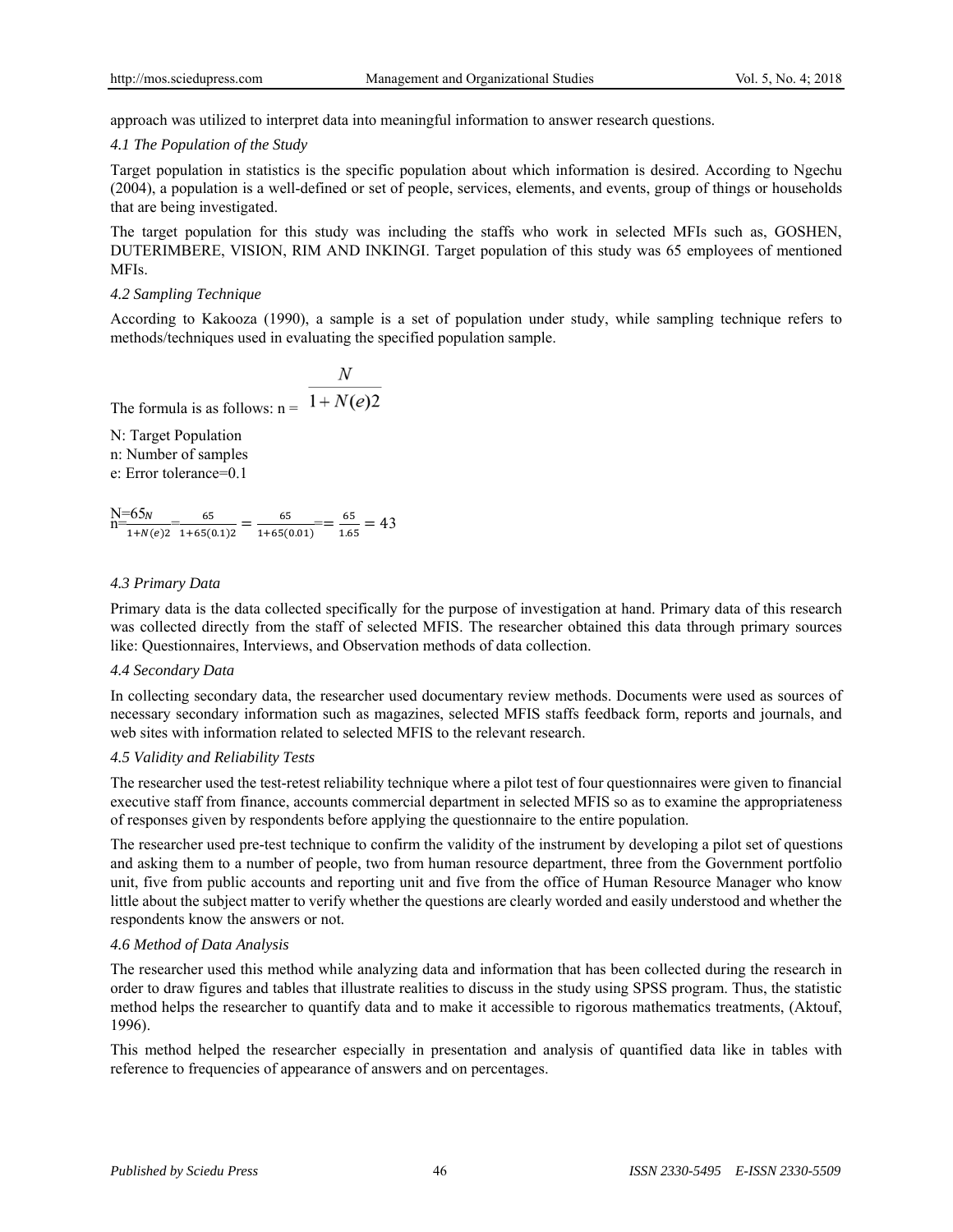approach was utilized to interpret data into meaningful information to answer research questions.

## *4.1 The Population of the Study*

Target population in statistics is the specific population about which information is desired. According to Ngechu (2004), a population is a well-defined or set of people, services, elements, and events, group of things or households that are being investigated.

The target population for this study was including the staffs who work in selected MFIs such as, GOSHEN, DUTERIMBERE, VISION, RIM AND INKINGI. Target population of this study was 65 employees of mentioned MFIs.

#### *4.2 Sampling Technique*

According to Kakooza (1990), a sample is a set of population under study, while sampling technique refers to methods/techniques used in evaluating the specified population sample.

The formula is as follows:  $n = \overline{1 + N(e)2}$ 

N: Target Population n: Number of samples e: Error tolerance=0.1

 $N=65<sub>n</sub>$  $\boldsymbol{N}$  $\frac{65}{1+N(e)2} = \frac{65}{1+65(0.1)2} = \frac{65}{1+65(0.01)} = \frac{65}{1.65} = 43$ 

#### *4.3 Primary Data*

Primary data is the data collected specifically for the purpose of investigation at hand. Primary data of this research was collected directly from the staff of selected MFIS. The researcher obtained this data through primary sources like: Questionnaires, Interviews, and Observation methods of data collection.

#### *4.4 Secondary Data*

In collecting secondary data, the researcher used documentary review methods. Documents were used as sources of necessary secondary information such as magazines, selected MFIS staffs feedback form, reports and journals, and web sites with information related to selected MFIS to the relevant research.

## *4.5 Validity and Reliability Tests*

The researcher used the test-retest reliability technique where a pilot test of four questionnaires were given to financial executive staff from finance, accounts commercial department in selected MFIS so as to examine the appropriateness of responses given by respondents before applying the questionnaire to the entire population.

The researcher used pre-test technique to confirm the validity of the instrument by developing a pilot set of questions and asking them to a number of people, two from human resource department, three from the Government portfolio unit, five from public accounts and reporting unit and five from the office of Human Resource Manager who know little about the subject matter to verify whether the questions are clearly worded and easily understood and whether the respondents know the answers or not.

## *4.6 Method of Data Analysis*

The researcher used this method while analyzing data and information that has been collected during the research in order to draw figures and tables that illustrate realities to discuss in the study using SPSS program. Thus, the statistic method helps the researcher to quantify data and to make it accessible to rigorous mathematics treatments, (Aktouf, 1996).

This method helped the researcher especially in presentation and analysis of quantified data like in tables with reference to frequencies of appearance of answers and on percentages.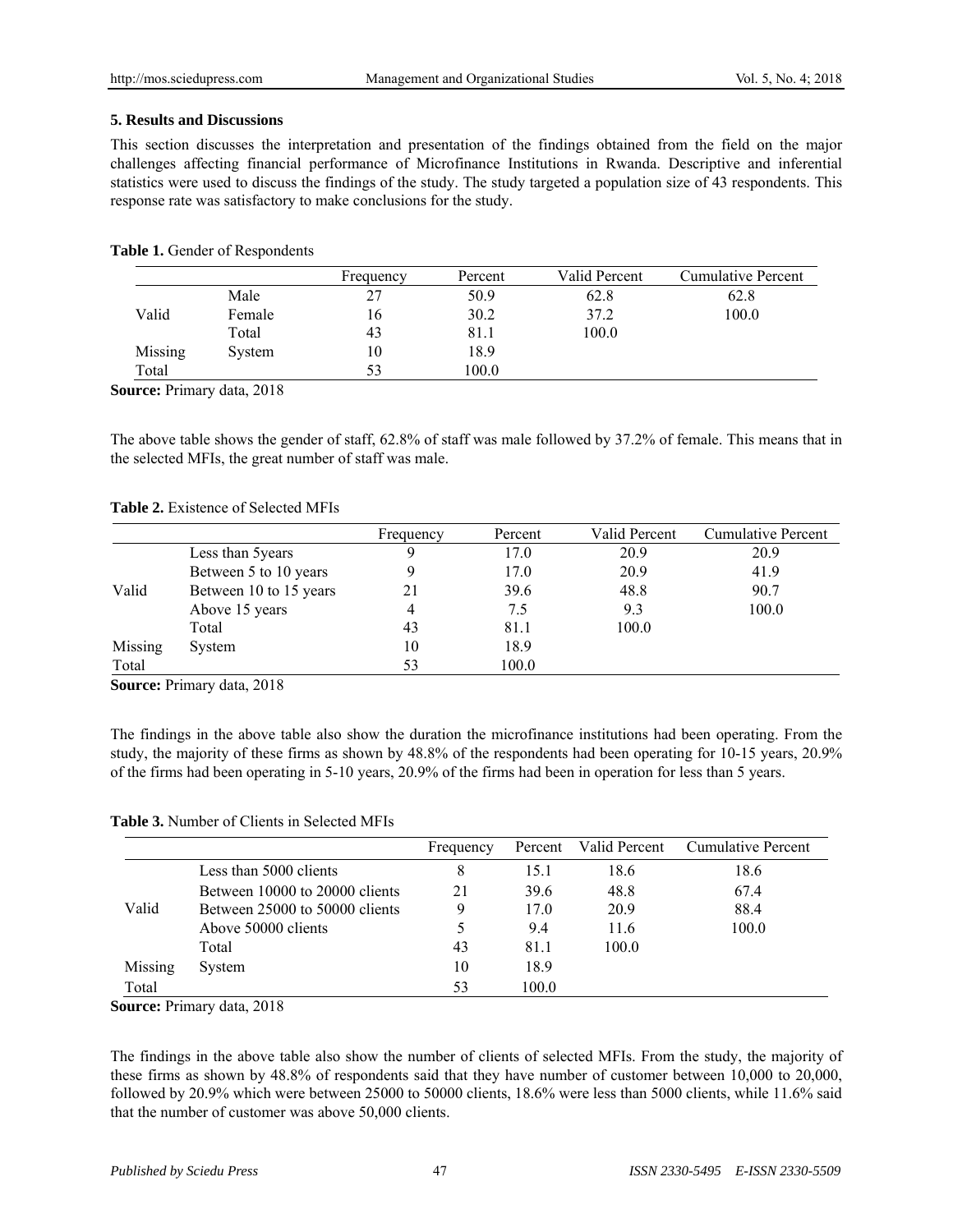## **5. Results and Discussions**

This section discusses the interpretation and presentation of the findings obtained from the field on the major challenges affecting financial performance of Microfinance Institutions in Rwanda. Descriptive and inferential statistics were used to discuss the findings of the study. The study targeted a population size of 43 respondents. This response rate was satisfactory to make conclusions for the study.

#### Table 1. Gender of Respondents

|         |        | Frequency | Percent | Valid Percent | Cumulative Percent |
|---------|--------|-----------|---------|---------------|--------------------|
|         | Male   | 27        | 50.9    | 62.8          | 62.8               |
| Valid   | Female | 16        | 30.2    | 37.2          | 100.0              |
|         | Total  | 43        | 81.1    | 100.0         |                    |
| Missing | System | 10        | 18.9    |               |                    |
| Total   |        | 53        | 100.0   |               |                    |

**Source:** Primary data, 2018

The above table shows the gender of staff, 62.8% of staff was male followed by 37.2% of female. This means that in the selected MFIs, the great number of staff was male.

#### **Table 2.** Existence of Selected MFIs

|         |                        | Frequency | Percent | Valid Percent | <b>Cumulative Percent</b> |
|---------|------------------------|-----------|---------|---------------|---------------------------|
|         | Less than 5 years      | Q         | 17.0    | 20.9          | 20.9                      |
|         | Between 5 to 10 years  |           | 17.0    | 20.9          | 41.9                      |
| Valid   | Between 10 to 15 years | 21        | 39.6    | 48.8          | 90.7                      |
|         | Above 15 years         | 4         | 7.5     | 9.3           | 100.0                     |
|         | Total                  | 43        | 81.1    | 100.0         |                           |
| Missing | System                 | 10        | 18.9    |               |                           |
| Total   |                        | 53        | 100.0   |               |                           |

**Source:** Primary data, 2018

The findings in the above table also show the duration the microfinance institutions had been operating. From the study, the majority of these firms as shown by 48.8% of the respondents had been operating for 10-15 years, 20.9% of the firms had been operating in 5-10 years, 20.9% of the firms had been in operation for less than 5 years.

**Table 3.** Number of Clients in Selected MFIs

|         |                                | Frequency |       | Percent Valid Percent | Cumulative Percent |
|---------|--------------------------------|-----------|-------|-----------------------|--------------------|
|         | Less than 5000 clients         | 8         | 15.1  | 18.6                  | 18.6               |
|         | Between 10000 to 20000 clients | 21        | 396   | 48.8                  | 67.4               |
| Valid   | Between 25000 to 50000 clients | Q         | 170   | 20.9                  | 88.4               |
|         | Above 50000 clients            |           | 9.4   | 11.6                  | 100.0              |
|         | Total                          | 43        | 81.1  | 100.0                 |                    |
| Missing | System                         | 10        | 18.9  |                       |                    |
| Total   |                                | 53        | 100.0 |                       |                    |

**Source:** Primary data, 2018

The findings in the above table also show the number of clients of selected MFIs. From the study, the majority of these firms as shown by 48.8% of respondents said that they have number of customer between 10,000 to 20,000, followed by 20.9% which were between 25000 to 50000 clients, 18.6% were less than 5000 clients, while 11.6% said that the number of customer was above 50,000 clients.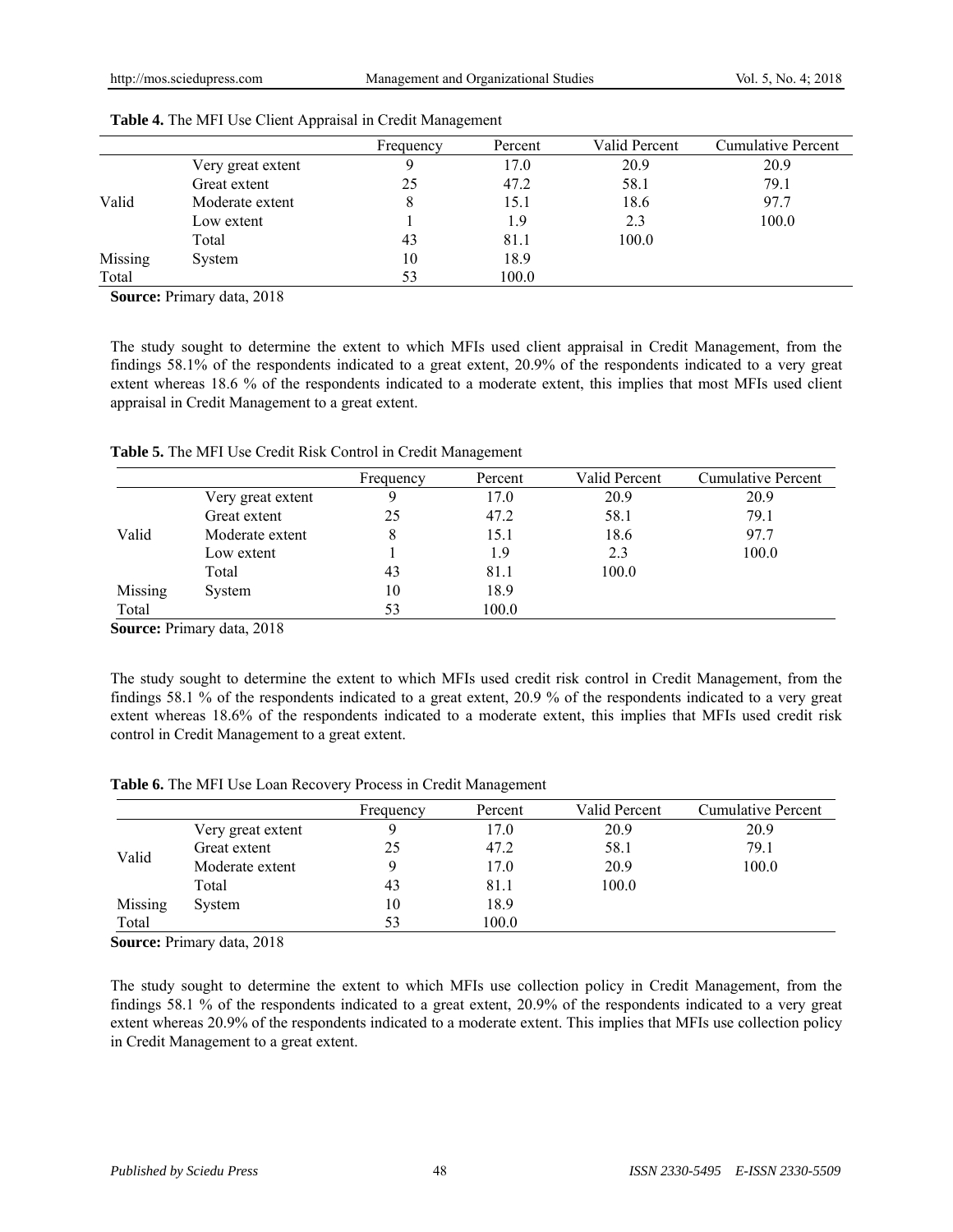|         |                   | Frequency | Percent | Valid Percent | <b>Cumulative Percent</b> |
|---------|-------------------|-----------|---------|---------------|---------------------------|
|         | Very great extent | Q         | 17.0    | 20.9          | 20.9                      |
|         | Great extent      | 25        | 47.2    | 58.1          | 79.1                      |
| Valid   | Moderate extent   | 8         | 15.1    | 18.6          | 97.7                      |
|         | Low extent        |           | 1.9     | 2.3           | 100.0                     |
|         | Total             | 43        | 81.1    | 100.0         |                           |
| Missing | System            | 10        | 18.9    |               |                           |
| Total   |                   | 53        | 100.0   |               |                           |

|  |  | Table 4. The MFI Use Client Appraisal in Credit Management |
|--|--|------------------------------------------------------------|
|  |  |                                                            |

**Source:** Primary data, 2018

The study sought to determine the extent to which MFIs used client appraisal in Credit Management, from the findings 58.1% of the respondents indicated to a great extent, 20.9% of the respondents indicated to a very great extent whereas 18.6 % of the respondents indicated to a moderate extent, this implies that most MFIs used client appraisal in Credit Management to a great extent.

**Table 5.** The MFI Use Credit Risk Control in Credit Management

|         |                   | Frequency | Percent | Valid Percent | Cumulative Percent |
|---------|-------------------|-----------|---------|---------------|--------------------|
|         | Very great extent |           | 17.0    | 20.9          | 20.9               |
|         | Great extent      | 25        | 47.2    | 58.1          | 79.1               |
| Valid   | Moderate extent   | 8         | 15.1    | 18.6          | 97.7               |
|         | Low extent        |           | 1.9     | 2.3           | 100.0              |
|         | Total             | 43        | 81.1    | 100.0         |                    |
| Missing | System            | 10        | 18.9    |               |                    |
| Total   |                   | 53        | 100.0   |               |                    |

**Source:** Primary data, 2018

The study sought to determine the extent to which MFIs used credit risk control in Credit Management, from the findings 58.1 % of the respondents indicated to a great extent, 20.9 % of the respondents indicated to a very great extent whereas 18.6% of the respondents indicated to a moderate extent, this implies that MFIs used credit risk control in Credit Management to a great extent.

|  |  |  |  | Table 6. The MFI Use Loan Recovery Process in Credit Management |
|--|--|--|--|-----------------------------------------------------------------|
|--|--|--|--|-----------------------------------------------------------------|

|         |                   | Frequency | Percent | Valid Percent | Cumulative Percent |
|---------|-------------------|-----------|---------|---------------|--------------------|
|         | Very great extent |           | 17.0    | 20.9          | 20.9               |
|         | Great extent      | 25        | 47.2    | 58.1          | 79.1               |
| Valid   | Moderate extent   |           | 17.0    | 20.9          | 100.0              |
|         | Total             | 43        | 81.1    | 100.0         |                    |
| Missing | System            | 10        | 18.9    |               |                    |
| Total   |                   | 53        | 100.0   |               |                    |

**Source:** Primary data, 2018

The study sought to determine the extent to which MFIs use collection policy in Credit Management, from the findings 58.1 % of the respondents indicated to a great extent, 20.9% of the respondents indicated to a very great extent whereas 20.9% of the respondents indicated to a moderate extent. This implies that MFIs use collection policy in Credit Management to a great extent.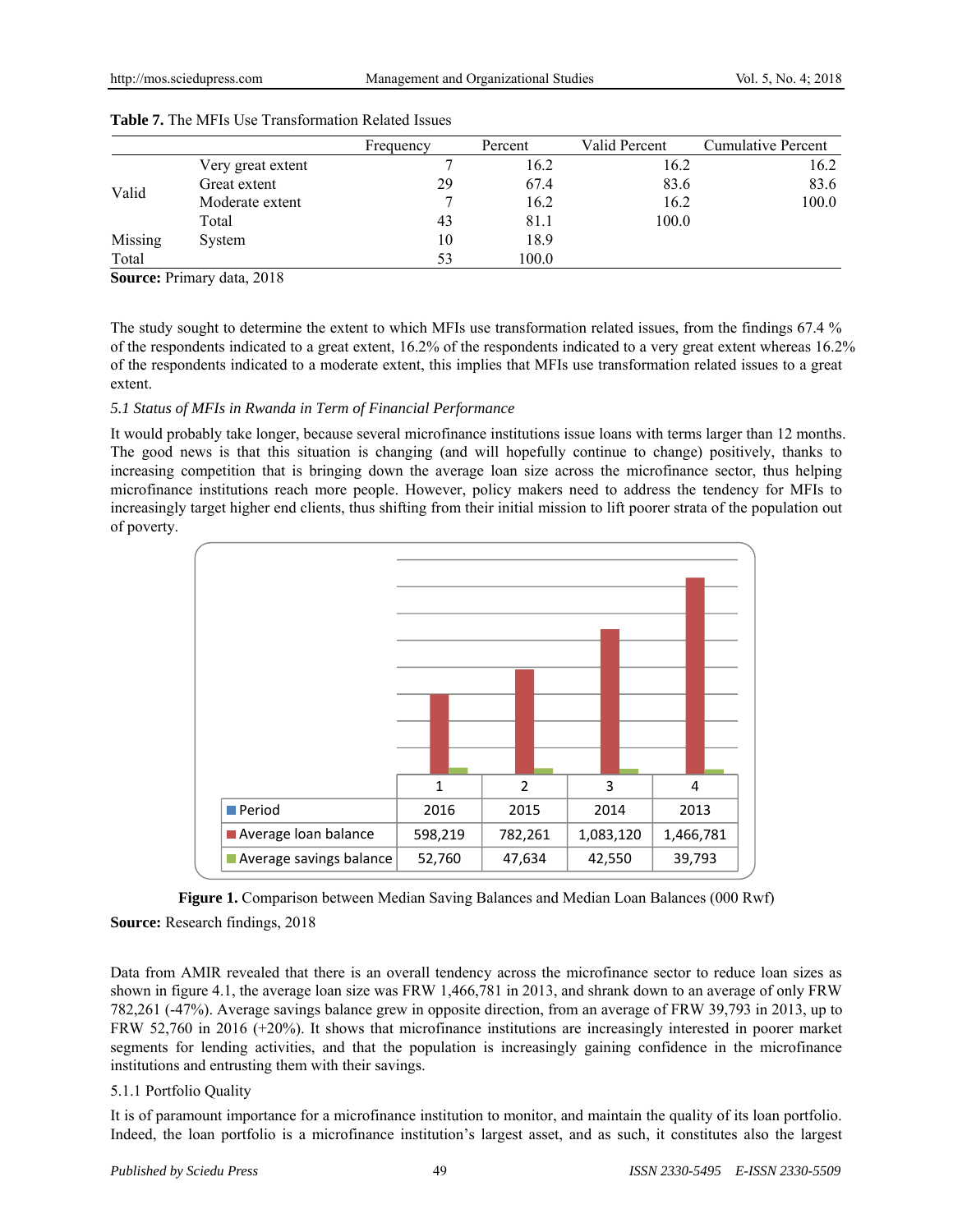|         |                   | Frequency | Percent | Valid Percent | Cumulative Percent |
|---------|-------------------|-----------|---------|---------------|--------------------|
|         | Very great extent |           | 16.2    | 16.2          | 16.2               |
|         | Great extent      | 29        | 67.4    | 83.6          | 83.6               |
| Valid   | Moderate extent   |           | 16.2    | 16.2          | 100.0              |
|         | Total             | 43        | 81.1    | 100.0         |                    |
| Missing | System            | 10        | 18.9    |               |                    |
| Total   |                   | 53        | 100.0   |               |                    |

| <b>Table 7.</b> The MFIs Use Transformation Related Issues |  |  |
|------------------------------------------------------------|--|--|
|                                                            |  |  |

**Source:** Primary data, 2018

The study sought to determine the extent to which MFIs use transformation related issues, from the findings 67.4 % of the respondents indicated to a great extent, 16.2% of the respondents indicated to a very great extent whereas 16.2% of the respondents indicated to a moderate extent, this implies that MFIs use transformation related issues to a great extent.

## *5.1 Status of MFIs in Rwanda in Term of Financial Performance*

It would probably take longer, because several microfinance institutions issue loans with terms larger than 12 months. The good news is that this situation is changing (and will hopefully continue to change) positively, thanks to increasing competition that is bringing down the average loan size across the microfinance sector, thus helping microfinance institutions reach more people. However, policy makers need to address the tendency for MFIs to increasingly target higher end clients, thus shifting from their initial mission to lift poorer strata of the population out of poverty.



**Figure 1.** Comparison between Median Saving Balances and Median Loan Balances (000 Rwf) **Source:** Research findings, 2018

Data from AMIR revealed that there is an overall tendency across the microfinance sector to reduce loan sizes as shown in figure 4.1, the average loan size was FRW 1,466,781 in 2013, and shrank down to an average of only FRW 782,261 (-47%). Average savings balance grew in opposite direction, from an average of FRW 39,793 in 2013, up to FRW 52,760 in 2016 (+20%). It shows that microfinance institutions are increasingly interested in poorer market segments for lending activities, and that the population is increasingly gaining confidence in the microfinance institutions and entrusting them with their savings.

## 5.1.1 Portfolio Quality

It is of paramount importance for a microfinance institution to monitor, and maintain the quality of its loan portfolio. Indeed, the loan portfolio is a microfinance institution's largest asset, and as such, it constitutes also the largest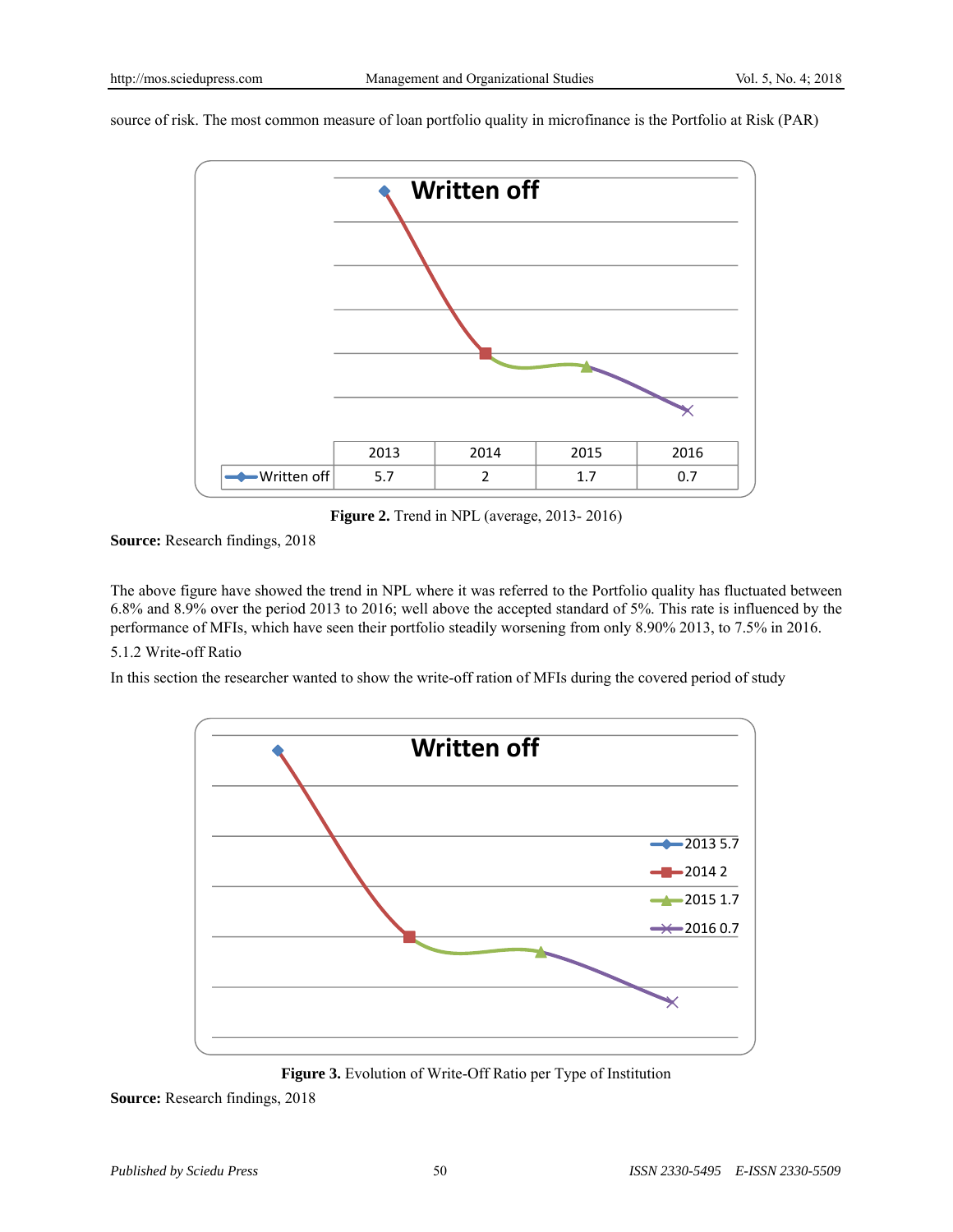source of risk. The most common measure of loan portfolio quality in microfinance is the Portfolio at Risk (PAR)



**Figure 2.** Trend in NPL (average, 2013- 2016)

**Source:** Research findings, 2018

The above figure have showed the trend in NPL where it was referred to the Portfolio quality has fluctuated between 6.8% and 8.9% over the period 2013 to 2016; well above the accepted standard of 5%. This rate is influenced by the performance of MFIs, which have seen their portfolio steadily worsening from only 8.90% 2013, to 7.5% in 2016.

## 5.1.2 Write-off Ratio

In this section the researcher wanted to show the write-off ration of MFIs during the covered period of study



**Figure 3.** Evolution of Write-Off Ratio per Type of Institution

**Source:** Research findings, 2018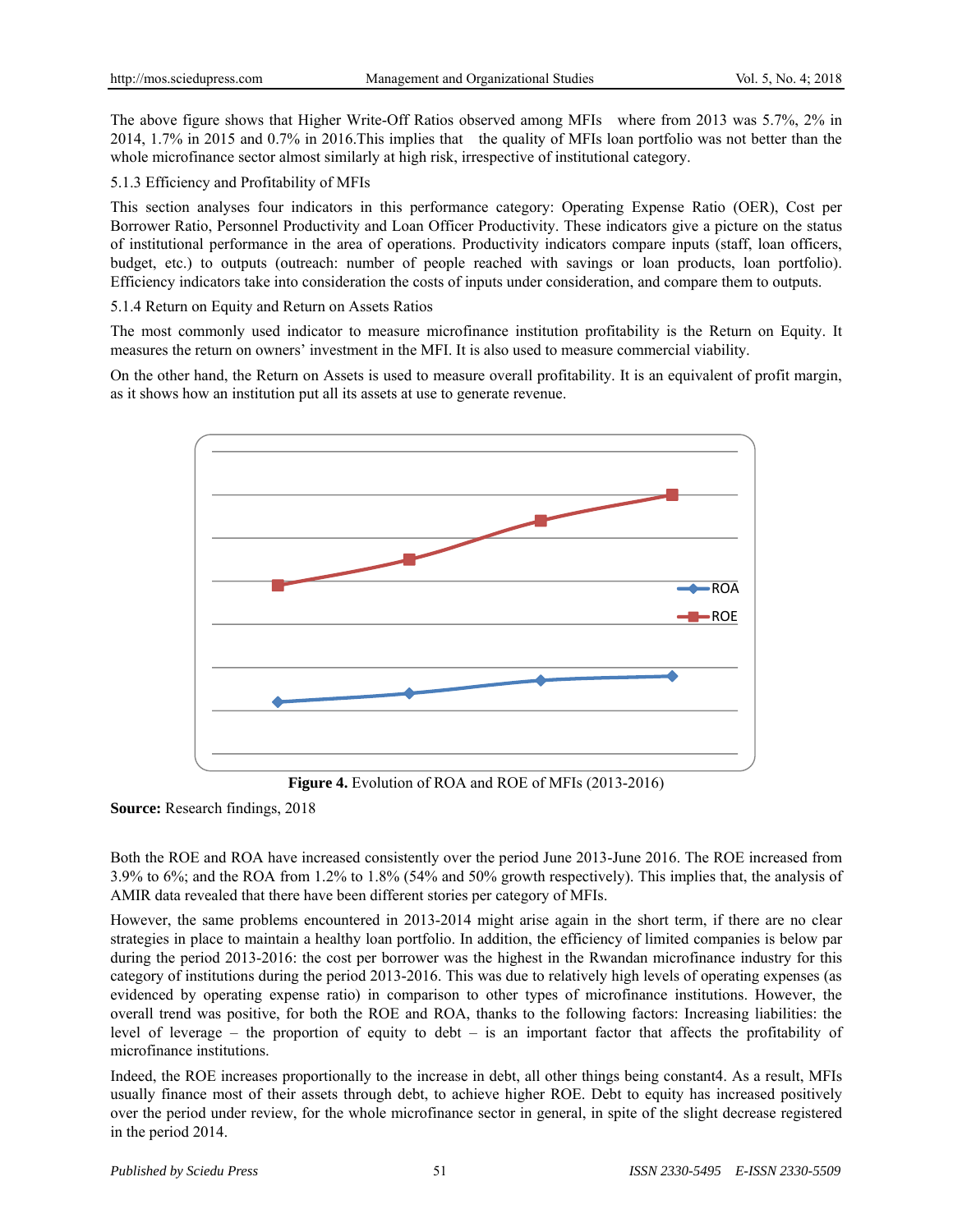The above figure shows that Higher Write-Off Ratios observed among MFIs where from 2013 was 5.7%, 2% in 2014, 1.7% in 2015 and 0.7% in 2016.This implies that the quality of MFIs loan portfolio was not better than the whole microfinance sector almost similarly at high risk, irrespective of institutional category.

5.1.3 Efficiency and Profitability of MFIs

This section analyses four indicators in this performance category: Operating Expense Ratio (OER), Cost per Borrower Ratio, Personnel Productivity and Loan Officer Productivity. These indicators give a picture on the status of institutional performance in the area of operations. Productivity indicators compare inputs (staff, loan officers, budget, etc.) to outputs (outreach: number of people reached with savings or loan products, loan portfolio). Efficiency indicators take into consideration the costs of inputs under consideration, and compare them to outputs.

5.1.4 Return on Equity and Return on Assets Ratios

The most commonly used indicator to measure microfinance institution profitability is the Return on Equity. It measures the return on owners' investment in the MFI. It is also used to measure commercial viability.

On the other hand, the Return on Assets is used to measure overall profitability. It is an equivalent of profit margin, as it shows how an institution put all its assets at use to generate revenue.



**Figure 4.** Evolution of ROA and ROE of MFIs (2013-2016)

**Source:** Research findings, 2018

Both the ROE and ROA have increased consistently over the period June 2013-June 2016. The ROE increased from 3.9% to 6%; and the ROA from 1.2% to 1.8% (54% and 50% growth respectively). This implies that, the analysis of AMIR data revealed that there have been different stories per category of MFIs.

However, the same problems encountered in 2013-2014 might arise again in the short term, if there are no clear strategies in place to maintain a healthy loan portfolio. In addition, the efficiency of limited companies is below par during the period 2013-2016: the cost per borrower was the highest in the Rwandan microfinance industry for this category of institutions during the period 2013-2016. This was due to relatively high levels of operating expenses (as evidenced by operating expense ratio) in comparison to other types of microfinance institutions. However, the overall trend was positive, for both the ROE and ROA, thanks to the following factors: Increasing liabilities: the level of leverage – the proportion of equity to debt – is an important factor that affects the profitability of microfinance institutions.

Indeed, the ROE increases proportionally to the increase in debt, all other things being constant4. As a result, MFIs usually finance most of their assets through debt, to achieve higher ROE. Debt to equity has increased positively over the period under review, for the whole microfinance sector in general, in spite of the slight decrease registered in the period 2014.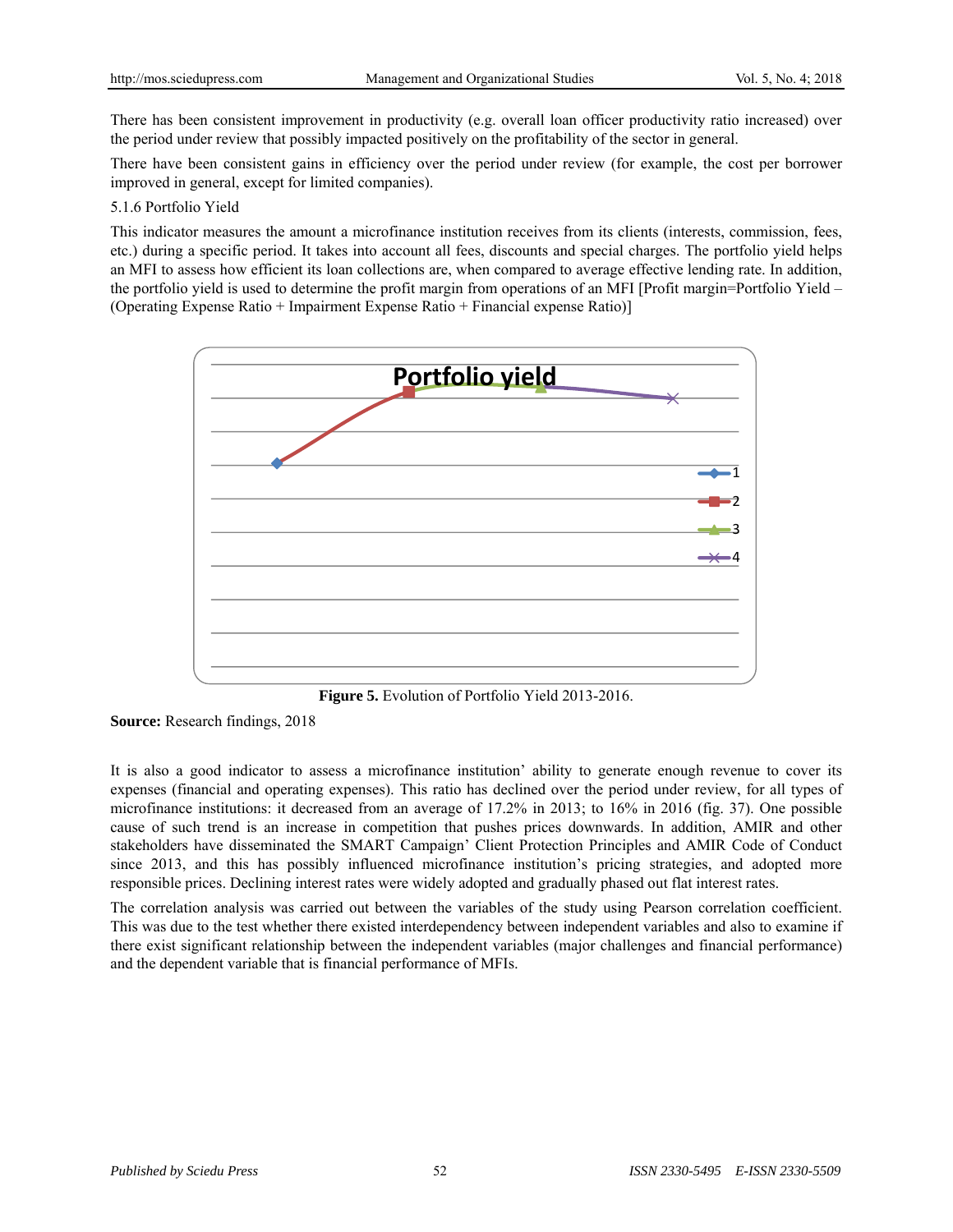There has been consistent improvement in productivity (e.g. overall loan officer productivity ratio increased) over the period under review that possibly impacted positively on the profitability of the sector in general.

There have been consistent gains in efficiency over the period under review (for example, the cost per borrower improved in general, except for limited companies).

#### 5.1.6 Portfolio Yield

This indicator measures the amount a microfinance institution receives from its clients (interests, commission, fees, etc.) during a specific period. It takes into account all fees, discounts and special charges. The portfolio yield helps an MFI to assess how efficient its loan collections are, when compared to average effective lending rate. In addition, the portfolio yield is used to determine the profit margin from operations of an MFI [Profit margin=Portfolio Yield – (Operating Expense Ratio + Impairment Expense Ratio + Financial expense Ratio)]



**Figure 5.** Evolution of Portfolio Yield 2013-2016.

It is also a good indicator to assess a microfinance institution' ability to generate enough revenue to cover its expenses (financial and operating expenses). This ratio has declined over the period under review, for all types of microfinance institutions: it decreased from an average of 17.2% in 2013; to 16% in 2016 (fig. 37). One possible cause of such trend is an increase in competition that pushes prices downwards. In addition, AMIR and other stakeholders have disseminated the SMART Campaign' Client Protection Principles and AMIR Code of Conduct since 2013, and this has possibly influenced microfinance institution's pricing strategies, and adopted more responsible prices. Declining interest rates were widely adopted and gradually phased out flat interest rates.

The correlation analysis was carried out between the variables of the study using Pearson correlation coefficient. This was due to the test whether there existed interdependency between independent variables and also to examine if there exist significant relationship between the independent variables (major challenges and financial performance) and the dependent variable that is financial performance of MFIs.

**Source:** Research findings, 2018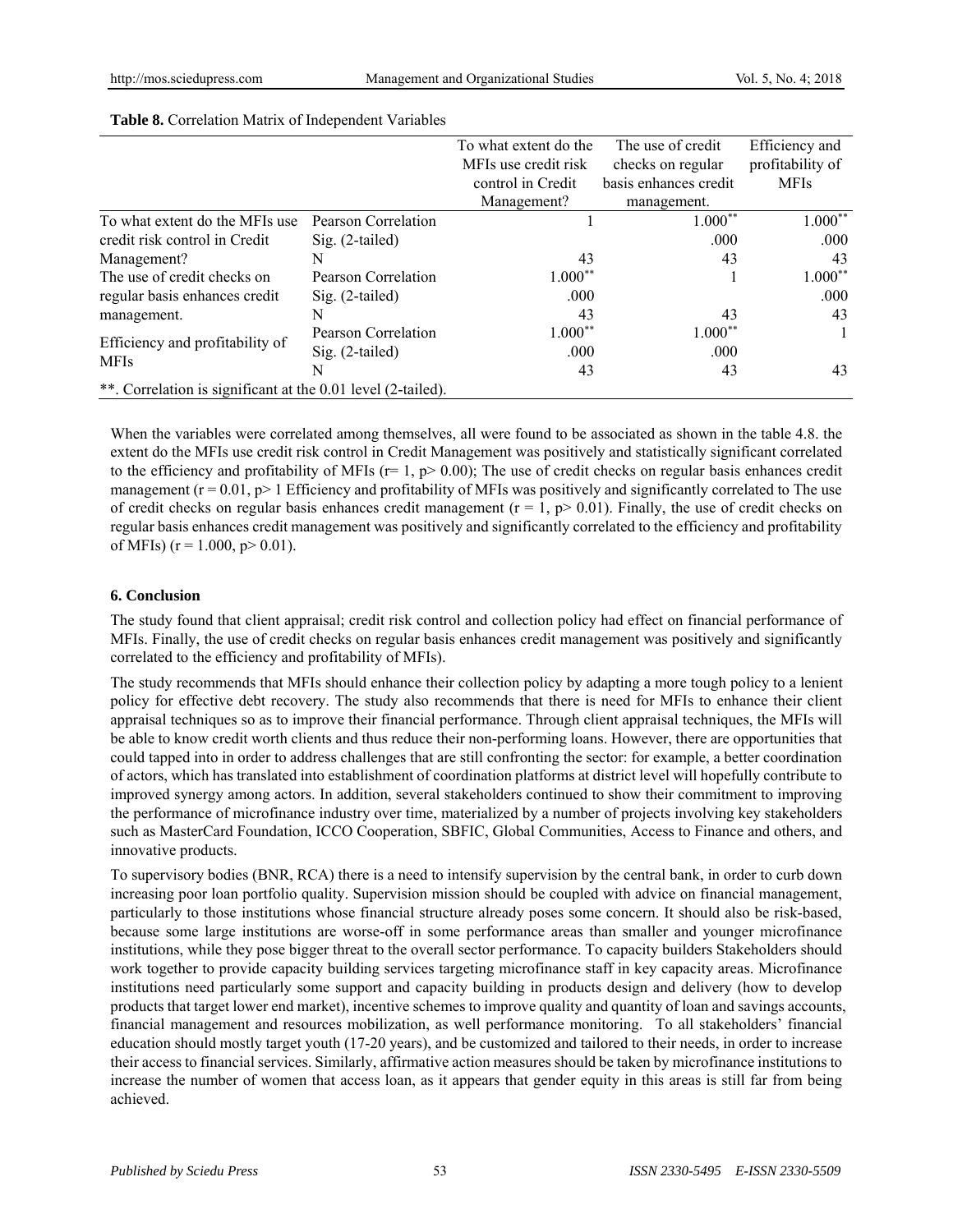|                                                              |                     | To what extent do the | The use of credit     | Efficiency and   |  |  |  |  |
|--------------------------------------------------------------|---------------------|-----------------------|-----------------------|------------------|--|--|--|--|
|                                                              |                     | MFIs use credit risk  | checks on regular     | profitability of |  |  |  |  |
|                                                              |                     | control in Credit     | basis enhances credit | <b>MFIs</b>      |  |  |  |  |
|                                                              |                     | Management?           | management.           |                  |  |  |  |  |
| To what extent do the MFIs use                               | Pearson Correlation |                       | $1.000**$             | $1.000**$        |  |  |  |  |
| credit risk control in Credit                                | $Sig. (2-tailed)$   |                       | .000                  | .000             |  |  |  |  |
| Management?                                                  | N                   | 43                    | 43                    | 43               |  |  |  |  |
| The use of credit checks on                                  | Pearson Correlation | $1.000**$             |                       | $1.000**$        |  |  |  |  |
| regular basis enhances credit                                | $Sig. (2-tailed)$   | .000                  |                       | .000             |  |  |  |  |
| management.                                                  | N                   | 43                    | 43                    | 43               |  |  |  |  |
|                                                              | Pearson Correlation | $1.000**$             | $1.000**$             |                  |  |  |  |  |
| Efficiency and profitability of<br><b>MFIs</b>               | $Sig. (2-tailed)$   | .000                  | .000                  |                  |  |  |  |  |
|                                                              | N                   | 43                    | 43                    | 43               |  |  |  |  |
| **. Correlation is significant at the 0.01 level (2-tailed). |                     |                       |                       |                  |  |  |  |  |

#### **Table 8.** Correlation Matrix of Independent Variables

When the variables were correlated among themselves, all were found to be associated as shown in the table 4.8. the extent do the MFIs use credit risk control in Credit Management was positively and statistically significant correlated to the efficiency and profitability of MFIs ( $r= 1$ ,  $p > 0.00$ ); The use of credit checks on regular basis enhances credit management  $(r = 0.01, p > 1$  Efficiency and profitability of MFIs was positively and significantly correlated to The use of credit checks on regular basis enhances credit management ( $r = 1$ ,  $p > 0.01$ ). Finally, the use of credit checks on regular basis enhances credit management was positively and significantly correlated to the efficiency and profitability of MFIs) ( $r = 1.000$ ,  $p > 0.01$ ).

## **6. Conclusion**

The study found that client appraisal; credit risk control and collection policy had effect on financial performance of MFIs. Finally, the use of credit checks on regular basis enhances credit management was positively and significantly correlated to the efficiency and profitability of MFIs).

The study recommends that MFIs should enhance their collection policy by adapting a more tough policy to a lenient policy for effective debt recovery. The study also recommends that there is need for MFIs to enhance their client appraisal techniques so as to improve their financial performance. Through client appraisal techniques, the MFIs will be able to know credit worth clients and thus reduce their non-performing loans. However, there are opportunities that could tapped into in order to address challenges that are still confronting the sector: for example, a better coordination of actors, which has translated into establishment of coordination platforms at district level will hopefully contribute to improved synergy among actors. In addition, several stakeholders continued to show their commitment to improving the performance of microfinance industry over time, materialized by a number of projects involving key stakeholders such as MasterCard Foundation, ICCO Cooperation, SBFIC, Global Communities, Access to Finance and others, and innovative products.

To supervisory bodies (BNR, RCA) there is a need to intensify supervision by the central bank, in order to curb down increasing poor loan portfolio quality. Supervision mission should be coupled with advice on financial management, particularly to those institutions whose financial structure already poses some concern. It should also be risk-based, because some large institutions are worse-off in some performance areas than smaller and younger microfinance institutions, while they pose bigger threat to the overall sector performance. To capacity builders Stakeholders should work together to provide capacity building services targeting microfinance staff in key capacity areas. Microfinance institutions need particularly some support and capacity building in products design and delivery (how to develop products that target lower end market), incentive schemes to improve quality and quantity of loan and savings accounts, financial management and resources mobilization, as well performance monitoring. To all stakeholders' financial education should mostly target youth (17-20 years), and be customized and tailored to their needs, in order to increase their access to financial services. Similarly, affirmative action measures should be taken by microfinance institutions to increase the number of women that access loan, as it appears that gender equity in this areas is still far from being achieved.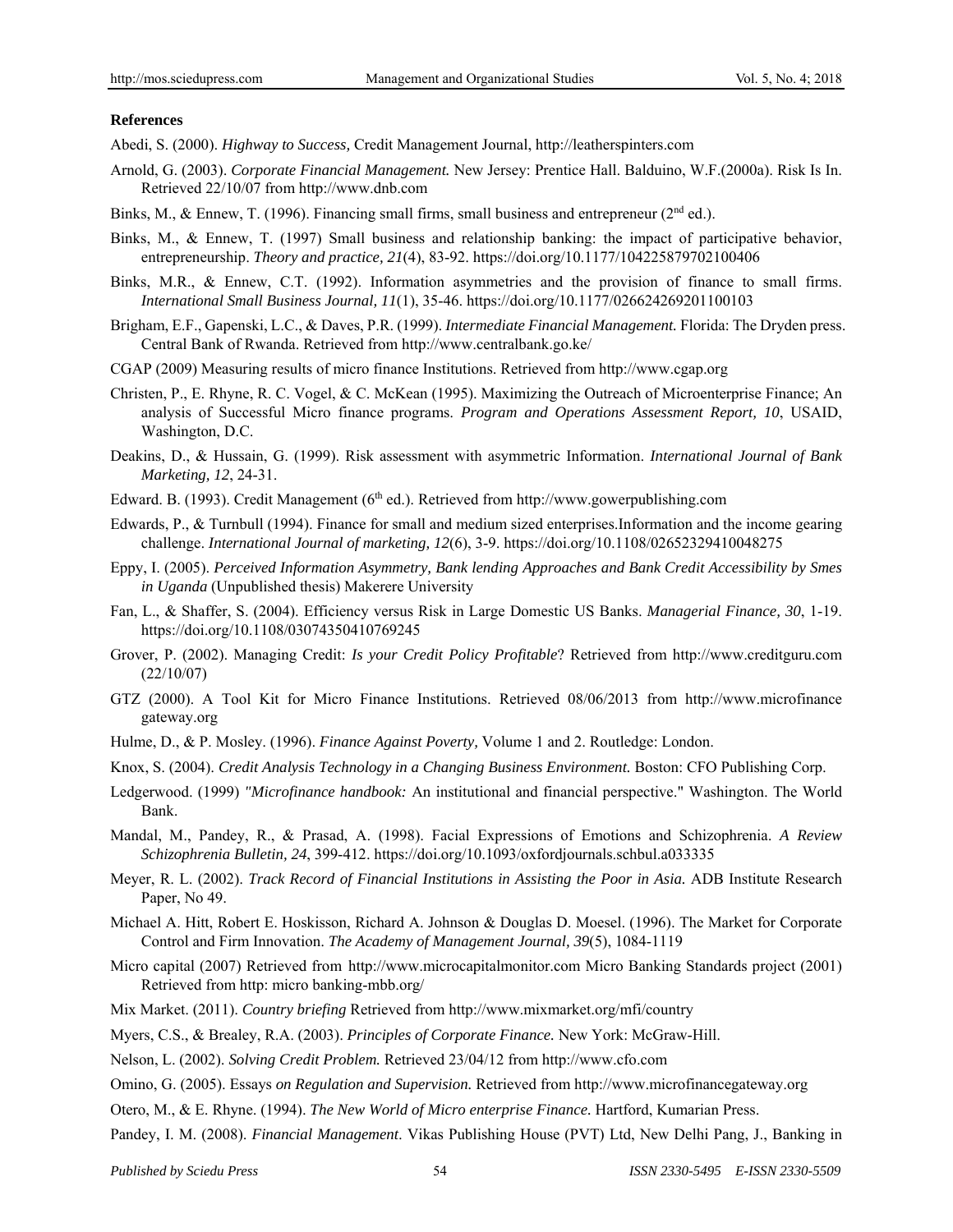#### **References**

Abedi, S. (2000). *Highway to Success,* Credit Management Journal, http://leatherspinters.com

- Arnold, G. (2003). *Corporate Financial Management.* New Jersey: Prentice Hall. Balduino, W.F.(2000a). Risk Is In. Retrieved 22/10/07 from http://www.dnb.com
- Binks, M., & Ennew, T. (1996). Financing small firms, small business and entrepreneur ( $2<sup>nd</sup>$  ed.).
- Binks, M., & Ennew, T. (1997) Small business and relationship banking: the impact of participative behavior, entrepreneurship. *Theory and practice, 21*(4), 83-92. https://doi.org/10.1177/104225879702100406
- Binks, M.R., & Ennew, C.T. (1992). Information asymmetries and the provision of finance to small firms. *International Small Business Journal, 11*(1), 35-46. https://doi.org/10.1177/026624269201100103
- Brigham, E.F., Gapenski, L.C., & Daves, P.R. (1999). *Intermediate Financial Management.* Florida: The Dryden press. Central Bank of Rwanda. Retrieved from http://www.centralbank.go.ke/
- CGAP (2009) Measuring results of micro finance Institutions. Retrieved from http://www.cgap.org
- Christen, P., E. Rhyne, R. C. Vogel, & C. McKean (1995). Maximizing the Outreach of Microenterprise Finance; An analysis of Successful Micro finance programs. *Program and Operations Assessment Report, 10*, USAID, Washington, D.C.
- Deakins, D., & Hussain, G. (1999). Risk assessment with asymmetric Information. *International Journal of Bank Marketing, 12*, 24-31.
- Edward. B. (1993). Credit Management (6th ed.). Retrieved from http://www.gowerpublishing.com
- Edwards, P., & Turnbull (1994). Finance for small and medium sized enterprises.Information and the income gearing challenge. *International Journal of marketing, 12*(6), 3-9. https://doi.org/10.1108/02652329410048275
- Eppy, I. (2005). *Perceived Information Asymmetry, Bank lending Approaches and Bank Credit Accessibility by Smes in Uganda* (Unpublished thesis) Makerere University
- Fan, L., & Shaffer, S. (2004). Efficiency versus Risk in Large Domestic US Banks. *Managerial Finance, 30*, 1-19. https://doi.org/10.1108/03074350410769245
- Grover, P. (2002). Managing Credit: *Is your Credit Policy Profitable*? Retrieved from http://www.creditguru.com (22/10/07)
- GTZ (2000). A Tool Kit for Micro Finance Institutions. Retrieved 08/06/2013 from http://www.microfinance gateway.org
- Hulme, D., & P. Mosley. (1996). *Finance Against Poverty,* Volume 1 and 2. Routledge: London.
- Knox, S. (2004). *Credit Analysis Technology in a Changing Business Environment.* Boston: CFO Publishing Corp.
- Ledgerwood. (1999) *"Microfinance handbook:* An institutional and financial perspective." Washington. The World Bank.
- Mandal, M., Pandey, R., & Prasad, A. (1998). Facial Expressions of Emotions and Schizophrenia. *A Review Schizophrenia Bulletin, 24*, 399-412. https://doi.org/10.1093/oxfordjournals.schbul.a033335
- Meyer, R. L. (2002). *Track Record of Financial Institutions in Assisting the Poor in Asia.* ADB Institute Research Paper, No 49.
- Michael A. Hitt, Robert E. Hoskisson, Richard A. Johnson & Douglas D. Moesel. (1996). The Market for Corporate Control and Firm Innovation. *The Academy of Management Journal, 39*(5), 1084-1119
- Micro capital (2007) Retrieved from http://www.microcapitalmonitor.com Micro Banking Standards project (2001) Retrieved from http: micro banking-mbb.org/
- Mix Market. (2011). *Country briefing* Retrieved from http://www.mixmarket.org/mfi/country
- Myers, C.S., & Brealey, R.A. (2003). *Principles of Corporate Finance.* New York: McGraw-Hill.
- Nelson, L. (2002). *Solving Credit Problem.* Retrieved 23/04/12 from http://www.cfo.com
- Omino, G. (2005). Essays *on Regulation and Supervision.* Retrieved from http://www.microfinancegateway.org
- Otero, M., & E. Rhyne. (1994). *The New World of Micro enterprise Finance.* Hartford, Kumarian Press.
- Pandey, I. M. (2008). *Financial Management*. Vikas Publishing House (PVT) Ltd, New Delhi Pang, J., Banking in